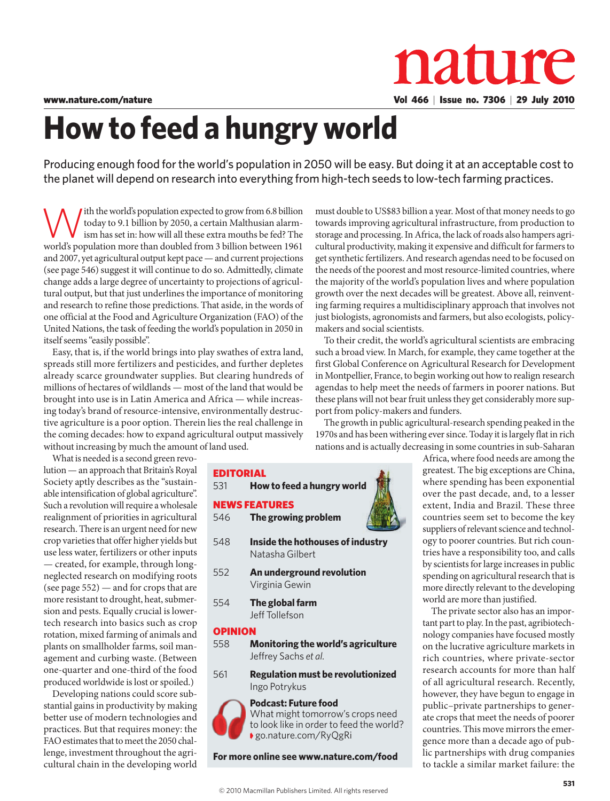

## **How to feed a hungry world**

Producing enough food for the world's population in 2050 will be easy. But doing it at an acceptable cost to the planet will depend on research into everything from high-tech seeds to low-tech farming practices.

ith the world's population expected to grow from 6.8 billion today to 9.1 billion by 2050, a certain Malthusian alarmism has set in: how will all these extra mouths be fed? The world's population more than doubled from 3 billion between 1961 and 2007, yet agricultural output kept pace — and current projections (see page 546) suggest it will continue to do so. Admittedly, climate change adds a large degree of uncertainty to projections of agricultural output, but that just underlines the importance of monitoring and research to refine those predictions. That aside, in the words of one official at the Food and Agriculture Organization (FAO) of the United Nations, the task of feeding the world's population in 2050 in itself seems "easily possible".

Easy, that is, if the world brings into play swathes of extra land, spreads still more fertilizers and pesticides, and further depletes already scarce groundwater supplies. But clearing hundreds of millions of hectares of wildlands — most of the land that would be brought into use is in Latin America and Africa — while increasing today's brand of resource-intensive, environmentally destructive agriculture is a poor option. Therein lies the real challenge in the coming decades: how to expand agricultural output massively without increasing by much the amount of land used.

What is needed is a second green revolution — an approach that Britain's Royal Society aptly describes as the "sustainable intensification of global agriculture". Such a revolution will require a wholesale realignment of priorities in agricultural research. There is an urgent need for new crop varieties that offer higher yields but use less water, fertilizers or other inputs — created, for example, through longneglected research on modifying roots (see page 552) — and for crops that are more resistant to drought, heat, submersion and pests. Equally crucial is lowertech research into basics such as crop rotation, mixed farming of animals and plants on smallholder farms, soil management and curbing waste. (Between one-quarter and one-third of the food produced worldwide is lost or spoiled.)

Developing nations could score substantial gains in productivity by making better use of modern technologies and practices. But that requires money: the FAO estimates that to meet the 2050 challenge, investment throughout the agricultural chain in the developing world

storage and processing. In Africa, the lack of roads also hampers agricultural productivity, making it expensive and difficult for farmers to get synthetic fertilizers. And research agendas need to be focused on the needs of the poorest and most resource-limited countries, where the majority of the world's population lives and where population growth over the next decades will be greatest. Above all, reinventing farming requires a multidisciplinary approach that involves not just biologists, agronomists and farmers, but also ecologists, policymakers and social scientists.

must double to US\$83 billion a year. Most of that money needs to go towards improving agricultural infrastructure, from production to

To their credit, the world's agricultural scientists are embracing such a broad view. In March, for example, they came together at the first Global Conference on Agricultural Research for Development in Montpellier, France, to begin working out how to realign research agendas to help meet the needs of farmers in poorer nations. But these plans will not bear fruit unless they get considerably more support from policy-makers and funders.

The growth in public agricultural-research spending peaked in the 1970s and has been withering ever since. Today it is largely flat in rich nations and is actually decreasing in some countries in sub-Saharan

| 531     | <b>EDITORIAL</b><br>How to feed a hungry world             |
|---------|------------------------------------------------------------|
| 546 -   | <b>NEWS FEATURES</b><br>The growing problem                |
| 548     | Inside the hothouses of industry<br>Natasha Gilbert        |
| 552     | An underground revolution<br>Virginia Gewin                |
| 554     | The global farm<br>Jeff Tollefson                          |
| OPINION |                                                            |
| 558     | Monitoring the world's agriculture<br>Jeffrey Sachs et al. |
|         |                                                            |

561 **Regulation must be revolutionized** Ingo Potrykus

## **Podcast: Future food**  What might tomorrow's crops need to look like in order to feed the world? ➧ go.nature.com/RyQgRi

**For more online see www.nature.com/food**

Africa, where food needs are among the greatest. The big exceptions are China, where spending has been exponential over the past decade, and, to a lesser extent, India and Brazil. These three countries seem set to become the key suppliers of relevant science and technology to poorer countries. But rich countries have a responsibility too, and calls by scientists for large increases in public spending on agricultural research that is more directly relevant to the developing world are more than justified.

The private sector also has an important part to play. In the past, agribiotechnology companies have focused mostly on the lucrative agriculture markets in rich countries, where private-sector research accounts for more than half of all agricultural research. Recently, however, they have begun to engage in public–private partnerships to generate crops that meet the needs of poorer countries. This move mirrors the emergence more than a decade ago of public partnerships with drug companies to tackle a similar market failure: the